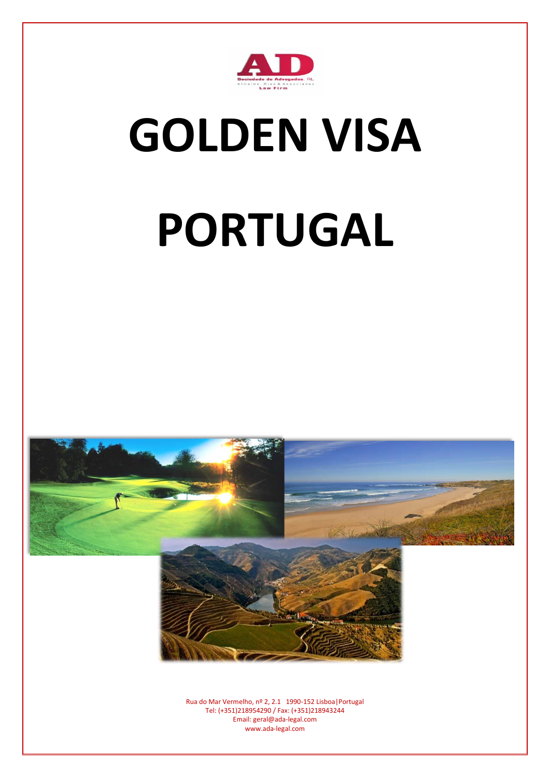

## **GOLDEN VISA**

# **PORTUGAL**

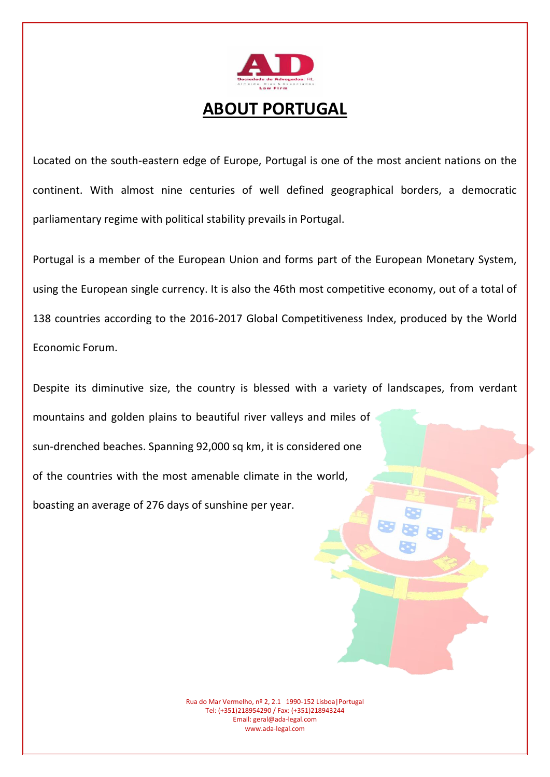

### **ABOUT PORTUGAL**

Located on the south-eastern edge of Europe, Portugal is one of the most ancient nations on the continent. With almost nine centuries of well defined geographical borders, a democratic parliamentary regime with political stability prevails in Portugal.

Portugal is a member of the European Union and forms part of the European Monetary System, using the European single currency. It is also the 46th most competitive economy, out of a total of 138 countries according to the 2016-2017 Global Competitiveness Index, produced by the World Economic Forum.

Despite its diminutive size, the country is blessed with a variety of landscapes, from verdant mountains and golden plains to beautiful river valleys and miles of sun-drenched beaches. Spanning 92,000 sq km, it is considered one of the countries with the most amenable climate in the world, boasting an average of 276 days of sunshine per year.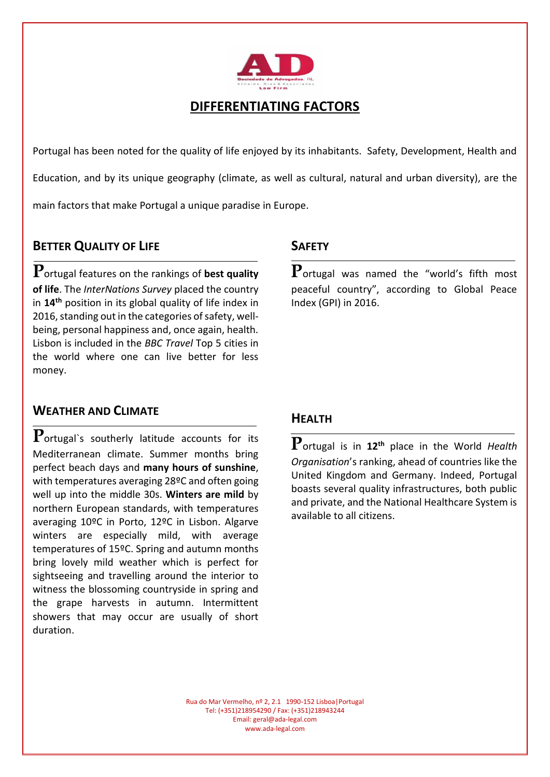

#### **DIFFERENTIATING FACTORS**

Portugal has been noted for the quality of life enjoyed by its inhabitants. Safety, Development, Health and Education, and by its unique geography (climate, as well as cultural, natural and urban diversity), are the main factors that make Portugal a unique paradise in Europe.

#### **BETTER QUALITY OF LIFE**

**P**ortugal features on the rankings of **best quality of life**. The *InterNations Survey* placed the country in **14th** position in its global quality of life index in 2016, standing out in the categories of safety, wellbeing, personal happiness and, once again, health. Lisbon is included in the *BBC Travel* Top 5 cities in the world where one can live better for less money.

#### **WEATHER AND CLIMATE**

**P**ortugal`s southerly latitude accounts for its Mediterranean climate. Summer months bring perfect beach days and **many hours of sunshine**, with temperatures averaging 28ºC and often going well up into the middle 30s. **Winters are mild** by northern European standards, with temperatures averaging 10ºC in Porto, 12ºC in Lisbon. Algarve winters are especially mild, with average temperatures of 15ºC. Spring and autumn months bring lovely mild weather which is perfect for sightseeing and travelling around the interior to witness the blossoming countryside in spring and the grape harvests in autumn. Intermittent showers that may occur are usually of short duration.

#### **SAFETY**

**P**ortugal was named the "world's fifth most peaceful country", according to Global Peace Index (GPI) in 2016.

#### **HEALTH**

**P**ortugal is in **12th** place in the World *Health Organisation*'s ranking, ahead of countries like the United Kingdom and Germany. Indeed, Portugal boasts several quality infrastructures, both public and private, and the National Healthcare System is available to all citizens.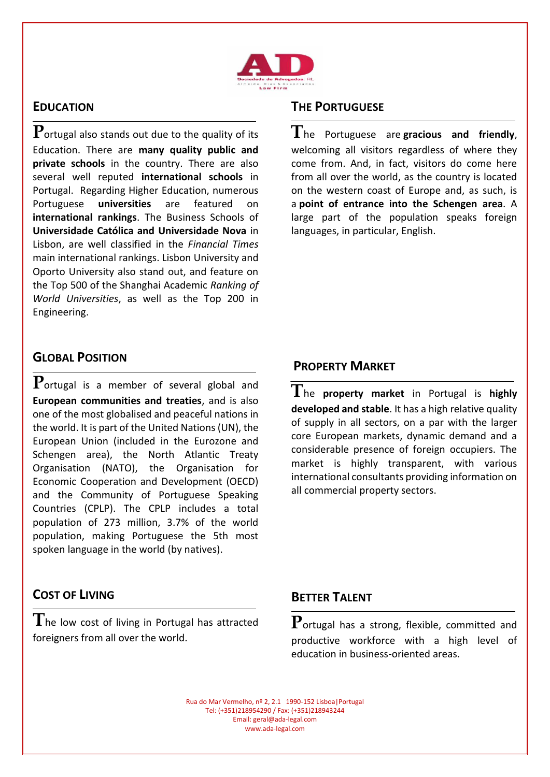

#### **EDUCATION**

**P**ortugal also stands out due to the quality of its Education. There are **many quality public and private schools** in the country. There are also several well reputed **international schools** in Portugal. Regarding Higher Education, numerous Portuguese **universities** are featured on **international rankings**. The Business Schools of **Universidade Católica and Universidade Nova** in Lisbon, are well classified in the *Financial Times* main international rankings. Lisbon University and Oporto University also stand out, and feature on the Top 500 of the Shanghai Academic *Ranking of World Universities*, as well as the Top 200 in Engineering.

#### **THE PORTUGUESE**

**T**he Portuguese are **gracious and friendly**, welcoming all visitors regardless of where they come from. And, in fact, visitors do come here from all over the world, as the country is located on the western coast of Europe and, as such, is a **point of entrance into the Schengen area**. A large part of the population speaks foreign languages, in particular, English.

#### **GLOBAL POSITION**

**P**ortugal is a member of several global and **European communities and treaties**, and is also one of the most globalised and peaceful nations in the world. It is part of the United Nations (UN), the European Union (included in the Eurozone and Schengen area), the North Atlantic Treaty Organisation (NATO), the Organisation for Economic Cooperation and Development (OECD) and the Community of Portuguese Speaking Countries (CPLP). The CPLP includes a total population of 273 million, 3.7% of the world population, making Portuguese the 5th most spoken language in the world (by natives).

#### **COST OF LIVING**

**T**he low cost of living in Portugal has attracted foreigners from all over the world.

#### **PROPERTY MARKET**

**T**he **property market** in Portugal is **highly developed and stable**. It has a high relative quality of supply in all sectors, on a par with the larger core European markets, dynamic demand and a considerable presence of foreign occupiers. The market is highly transparent, with various international consultants providing information on all commercial property sectors.

#### **BETTER TALENT**

**P**ortugal has a strong, flexible, committed and productive workforce with a high level of education in business-oriented areas.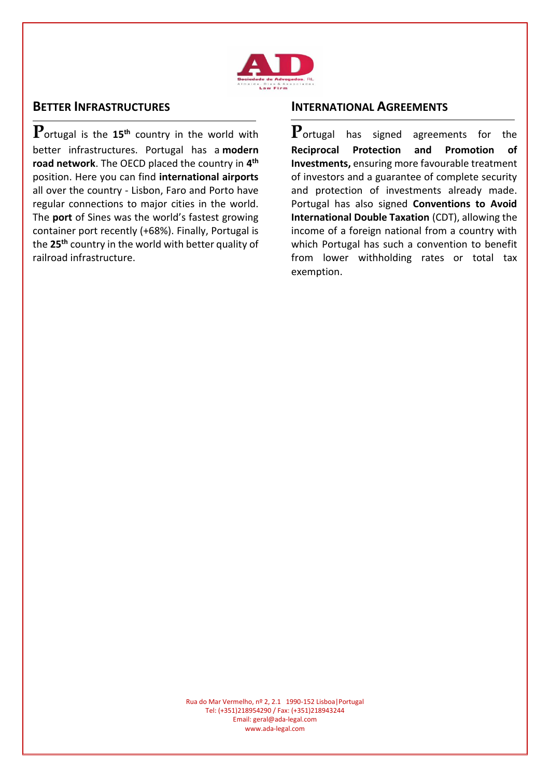

#### **BETTER INFRASTRUCTURES**

**P**ortugal is the **15th** country in the world with better infrastructures. Portugal has a **modern road network**. The OECD placed the country in **4 th** position. Here you can find **international airports** all over the country - Lisbon, Faro and Porto have regular connections to major cities in the world. The **port** of Sines was the world's fastest growing container port recently (+68%). Finally, Portugal is the **25th** country in the world with better quality of railroad infrastructure.

#### **INTERNATIONAL AGREEMENTS**

**P**ortugal has signed agreements for the **Reciprocal Protection and Promotion of Investments,** ensuring more favourable treatment of investors and a guarantee of complete security and protection of investments already made. Portugal has also signed **Conventions to Avoid International Double Taxation** (CDT), allowing the income of a foreign national from a country with which Portugal has such a convention to benefit from lower withholding rates or total tax exemption.